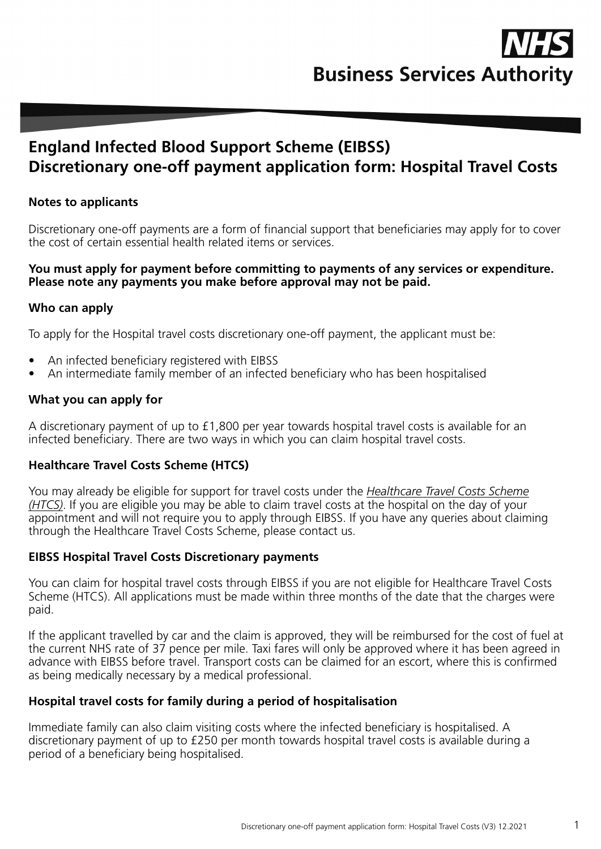

# **England Infected Blood Support Scheme (EIBSS) Discretionary one-off payment application form: Hospital Travel Costs**

#### **Notes to applicants**

Discretionary one-off payments are a form of financial support that beneficiaries may apply for to cover the cost of certain essential health related items or services.

#### **You must apply for payment before committing to payments of any services or expenditure. Please note any payments you make before approval may not be paid.**

#### **Who can apply**

To apply for the Hospital travel costs discretionary one-off payment, the applicant must be:

- An infected beneficiary registered with EIBSS
- An intermediate family member of an infected beneficiary who has been hospitalised

#### **What you can apply for**

A discretionary payment of up to £1,800 per year towards hospital travel costs is available for an infected beneficiary. There are two ways in which you can claim hospital travel costs.

#### **Healthcare Travel Costs Scheme (HTCS)**

You may already be eligible for support for travel costs under the *[Healthcare Travel Costs Scheme](https://www.nhs.uk/using-the-nhs/help-with-health-costs/healthcare-travel-costs-scheme-htcs/)  [\(HTCS\)](https://www.nhs.uk/using-the-nhs/help-with-health-costs/healthcare-travel-costs-scheme-htcs/)*. If you are eligible you may be able to claim travel costs at the hospital on the day of your appointment and will not require you to apply through EIBSS. If you have any queries about claiming through the Healthcare Travel Costs Scheme, please contact us.

#### **EIBSS Hospital Travel Costs Discretionary payments**

You can claim for hospital travel costs through EIBSS if you are not eligible for Healthcare Travel Costs Scheme (HTCS). All applications must be made within three months of the date that the charges were paid.

If the applicant travelled by car and the claim is approved, they will be reimbursed for the cost of fuel at the current NHS rate of 37 pence per mile. Taxi fares will only be approved where it has been agreed in advance with EIBSS before travel. Transport costs can be claimed for an escort, where this is confirmed as being medically necessary by a medical professional.

#### **Hospital travel costs for family during a period of hospitalisation**

Immediate family can also claim visiting costs where the infected beneficiary is hospitalised. A discretionary payment of up to £250 per month towards hospital travel costs is available during a period of a beneficiary being hospitalised.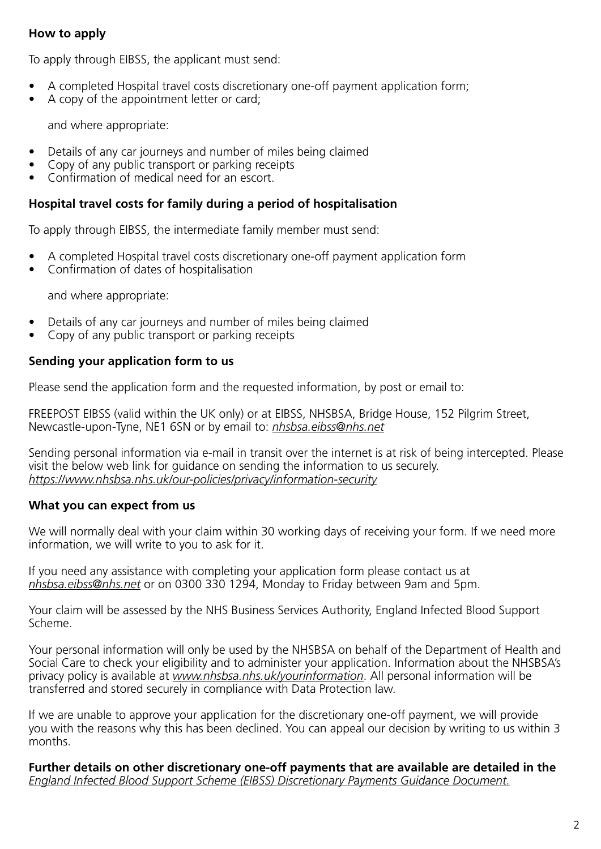### **How to apply**

To apply through EIBSS, the applicant must send:

- A completed Hospital travel costs discretionary one-off payment application form;
- A copy of the appointment letter or card:

and where appropriate:

- Details of any car journeys and number of miles being claimed
- Copy of any public transport or parking receipts
- Confirmation of medical need for an escort.

### **Hospital travel costs for family during a period of hospitalisation**

To apply through EIBSS, the intermediate family member must send:

- A completed Hospital travel costs discretionary one-off payment application form
- Confirmation of dates of hospitalisation

and where appropriate:

- Details of any car journeys and number of miles being claimed
- Copy of any public transport or parking receipts

### **Sending your application form to us**

Please send the application form and the requested information, by post or email to:

FREEPOST EIBSS (valid within the UK only) or at EIBSS, NHSBSA, Bridge House, 152 Pilgrim Street, Newcastle-upon-Tyne, NE1 6SN or by email to: *nhsbsa.eibss@nhs.net*

Sending personal information via e-mail in transit over the internet is at risk of being intercepted. Please visit the below web link for guidance on sending the information to us securely. *https://www.nhsbsa.nhs.uk/our-policies/privacy/information-security*

### **What you can expect from us**

We will normally deal with your claim within 30 working days of receiving your form. If we need more information, we will write to you to ask for it.

If you need any assistance with completing your application form please contact us at *nhsbsa.eibss@nhs.net* or on 0300 330 1294, Monday to Friday between 9am and 5pm.

Your claim will be assessed by the NHS Business Services Authority, England Infected Blood Support Scheme.

Your personal information will only be used by the NHSBSA on behalf of the Department of Health and Social Care to check your eligibility and to administer your application. Information about the NHSBSA's privacy policy is available at *www.nhsbsa.nhs.uk/yourinformation*. All personal information will be transferred and stored securely in compliance with Data Protection law.

If we are unable to approve your application for the discretionary one-off payment, we will provide you with the reasons why this has been declined. You can appeal our decision by writing to us within 3 months.

**Further details on other discretionary one-off payments that are available are detailed in the**  *[England Infected Blood Support Scheme \(EIBSS\) Discretionary Payments Guidance Document.](https://cms.nhsbsa.nhs.uk/sites/default/files/2020-09/Discretionary%20payments%20guidance%20August%202020.pdf)*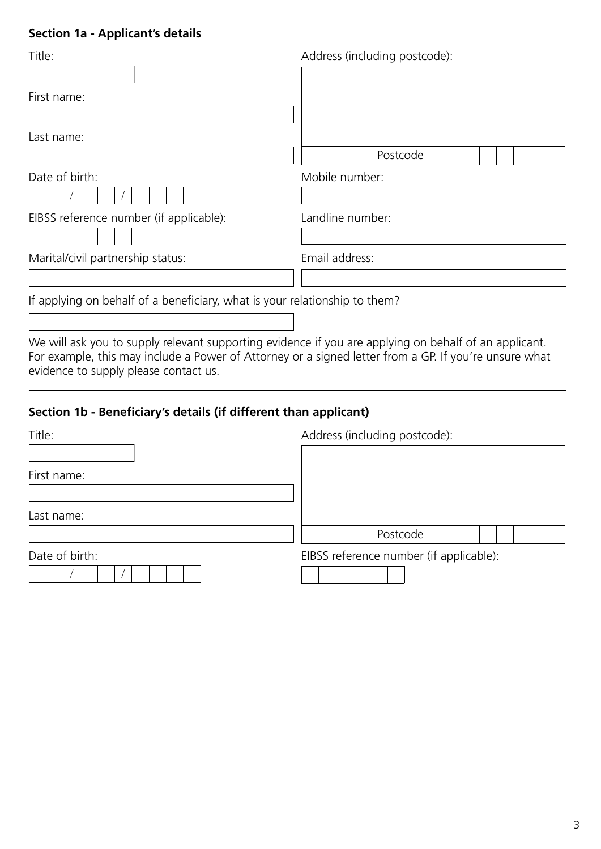### **Section 1a - Applicant's details**

| Title:                                                                     | Address (including postcode): |
|----------------------------------------------------------------------------|-------------------------------|
| First name:                                                                |                               |
| Last name:                                                                 | Postcode                      |
| Date of birth:                                                             | Mobile number:                |
| EIBSS reference number (if applicable):                                    | Landline number:              |
| Marital/civil partnership status:                                          | Email address:                |
| If applying on behalf of a beneficiary, what is your relationship to them? |                               |

We will ask you to supply relevant supporting evidence if you are applying on behalf of an applicant. For example, this may include a Power of Attorney or a signed letter from a GP. If you're unsure what evidence to supply please contact us.

### **Section 1b - Beneficiary's details (if different than applicant)**

| Title:         | Address (including postcode):           |
|----------------|-----------------------------------------|
|                |                                         |
| First name:    |                                         |
|                |                                         |
| Last name:     |                                         |
|                | Postcode                                |
| Date of birth: | EIBSS reference number (if applicable): |
|                |                                         |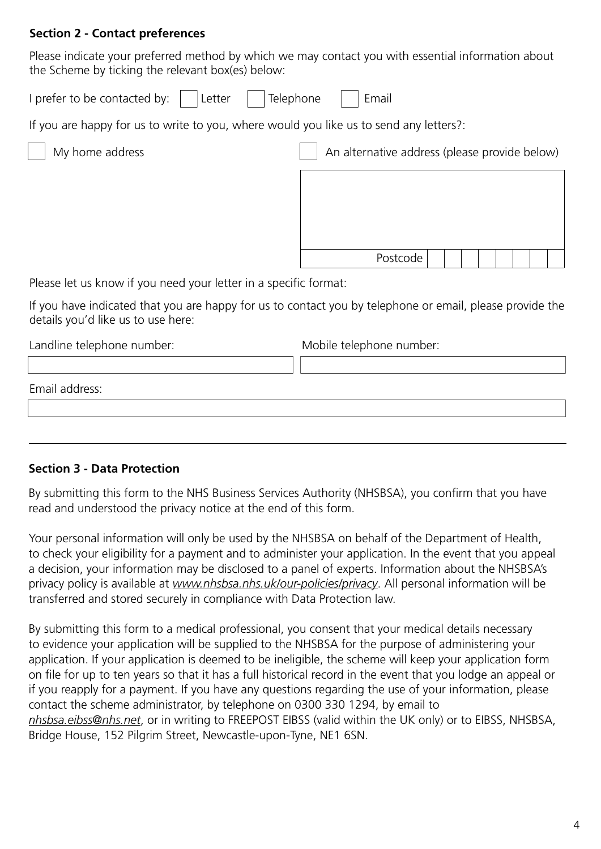### **Section 2 - Contact preferences**

Please indicate your preferred method by which we may contact you with essential information about the Scheme by ticking the relevant box(es) below:

I prefer to be contacted by:  $\vert$  Letter  $\vert$  Telephone  $\vert$  Email

If you are happy for us to write to you, where would you like us to send any letters?:

My home address and alternative address (please provide below)

Postcode

Please let us know if you need your letter in a specific format:

If you have indicated that you are happy for us to contact you by telephone or email, please provide the details you'd like us to use here:

Landline telephone number: Mobile telephone number:

Email address:

# **Section 3 - Data Protection**

By submitting this form to the NHS Business Services Authority (NHSBSA), you confirm that you have read and understood the privacy notice at the end of this form.

Your personal information will only be used by the NHSBSA on behalf of the Department of Health, to check your eligibility for a payment and to administer your application. In the event that you appeal a decision, your information may be disclosed to a panel of experts. Information about the NHSBSA's privacy policy is available at *www.nhsbsa.nhs.uk/our-policies/privacy*. All personal information will be transferred and stored securely in compliance with Data Protection law.

By submitting this form to a medical professional, you consent that your medical details necessary to evidence your application will be supplied to the NHSBSA for the purpose of administering your application. If your application is deemed to be ineligible, the scheme will keep your application form on file for up to ten years so that it has a full historical record in the event that you lodge an appeal or if you reapply for a payment. If you have any questions regarding the use of your information, please contact the scheme administrator, by telephone on 0300 330 1294, by email to *nhsbsa.eibss@nhs.net*, or in writing to FREEPOST EIBSS (valid within the UK only) or to EIBSS, NHSBSA, Bridge House, 152 Pilgrim Street, Newcastle-upon-Tyne, NE1 6SN.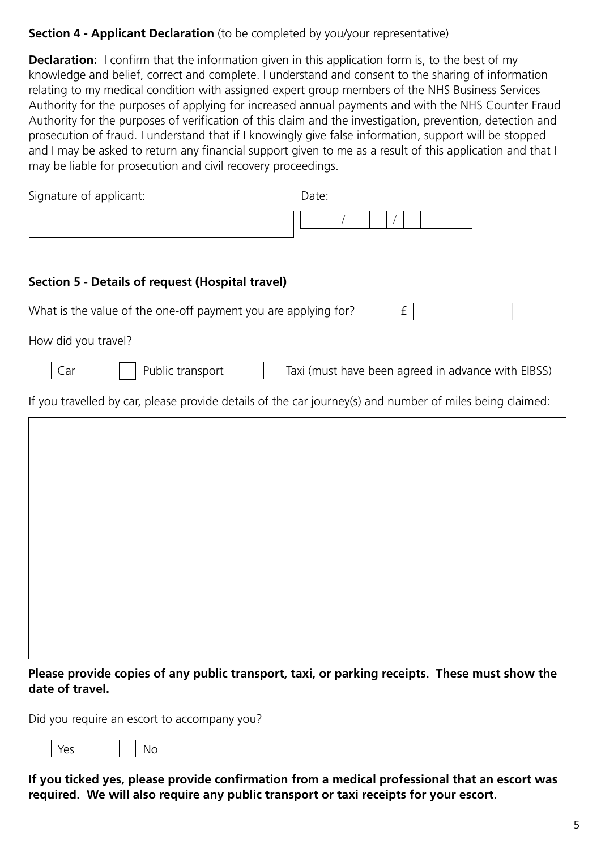# **Section 4 - Applicant Declaration** (to be completed by you/your representative)

**Declaration:** I confirm that the information given in this application form is, to the best of my knowledge and belief, correct and complete. I understand and consent to the sharing of information relating to my medical condition with assigned expert group members of the NHS Business Services Authority for the purposes of applying for increased annual payments and with the NHS Counter Fraud Authority for the purposes of verification of this claim and the investigation, prevention, detection and prosecution of fraud. I understand that if I knowingly give false information, support will be stopped and I may be asked to return any financial support given to me as a result of this application and that I may be liable for prosecution and civil recovery proceedings.

| Signature of applicant:                                                                                  | Date:                                              |
|----------------------------------------------------------------------------------------------------------|----------------------------------------------------|
|                                                                                                          |                                                    |
|                                                                                                          |                                                    |
| Section 5 - Details of request (Hospital travel)                                                         |                                                    |
| What is the value of the one-off payment you are applying for?                                           | $\ensuremath{\mathsf{f}}$                          |
| How did you travel?                                                                                      |                                                    |
| Public transport<br>Car                                                                                  | Taxi (must have been agreed in advance with EIBSS) |
| If you travelled by car, please provide details of the car journey(s) and number of miles being claimed: |                                                    |
|                                                                                                          |                                                    |
|                                                                                                          |                                                    |
|                                                                                                          |                                                    |
|                                                                                                          |                                                    |
|                                                                                                          |                                                    |
|                                                                                                          |                                                    |
|                                                                                                          |                                                    |
|                                                                                                          |                                                    |
|                                                                                                          |                                                    |

**Please provide copies of any public transport, taxi, or parking receipts. These must show the date of travel.**

Did you require an escort to accompany you?

Yes | No

**If you ticked yes, please provide confirmation from a medical professional that an escort was required. We will also require any public transport or taxi receipts for your escort.**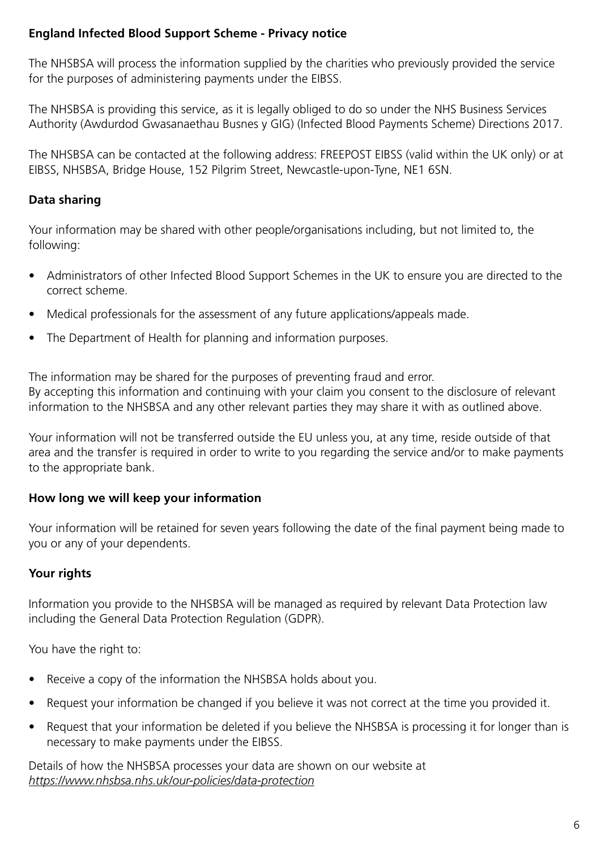# **England Infected Blood Support Scheme - Privacy notice**

The NHSBSA will process the information supplied by the charities who previously provided the service for the purposes of administering payments under the EIBSS.

The NHSBSA is providing this service, as it is legally obliged to do so under the NHS Business Services Authority (Awdurdod Gwasanaethau Busnes y GIG) (Infected Blood Payments Scheme) Directions 2017.

The NHSBSA can be contacted at the following address: FREEPOST EIBSS (valid within the UK only) or at EIBSS, NHSBSA, Bridge House, 152 Pilgrim Street, Newcastle-upon-Tyne, NE1 6SN.

# **Data sharing**

Your information may be shared with other people/organisations including, but not limited to, the following:

- Administrators of other Infected Blood Support Schemes in the UK to ensure you are directed to the correct scheme.
- Medical professionals for the assessment of any future applications/appeals made.
- The Department of Health for planning and information purposes.

The information may be shared for the purposes of preventing fraud and error. By accepting this information and continuing with your claim you consent to the disclosure of relevant information to the NHSBSA and any other relevant parties they may share it with as outlined above.

Your information will not be transferred outside the EU unless you, at any time, reside outside of that area and the transfer is required in order to write to you regarding the service and/or to make payments to the appropriate bank.

# **How long we will keep your information**

Your information will be retained for seven years following the date of the final payment being made to you or any of your dependents.

# **Your rights**

Information you provide to the NHSBSA will be managed as required by relevant Data Protection law including the General Data Protection Regulation (GDPR).

You have the right to:

- Receive a copy of the information the NHSBSA holds about you.
- Request your information be changed if you believe it was not correct at the time you provided it.
- Request that your information be deleted if you believe the NHSBSA is processing it for longer than is necessary to make payments under the EIBSS.

Details of how the NHSBSA processes your data are shown on our website at *https://www.nhsbsa.nhs.uk/our-policies/data-protection*